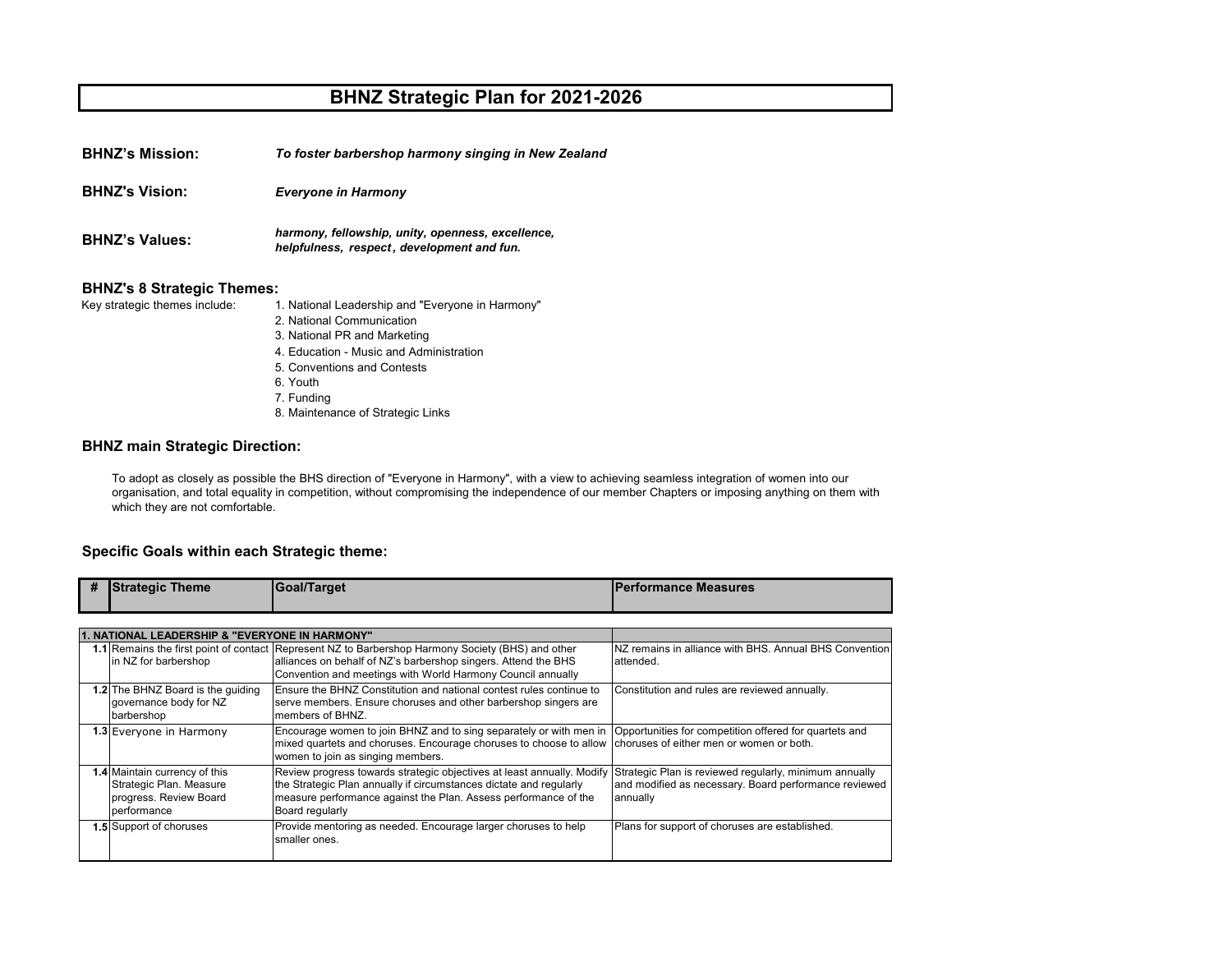## **BHNZ Strategic Plan for 2021-2026**

**BHNZ's Mission:** *To foster barbershop harmony singing in New Zealand*

*Everyone in Harmony* **BHNZ's Vision:**

**BHNZ's Values:** *harmony, fellowship, unity, openness, excellence, helpfulness, respect , development and fun.* 

## **BHNZ's 8 Strategic Themes:**<br>Key strategic themes include: 1

1. National Leadership and "Everyone in Harmony"

- 2. National Communication
- 3. National PR and Marketing
- 4. Education Music and Administration
- 5. Conventions and Contests
- 6. Youth
- 7. Funding
- 8. Maintenance of Strategic Links

## **BHNZ main Strategic Direction:**

To adopt as closely as possible the BHS direction of "Everyone in Harmony", with a view to achieving seamless integration of women into our organisation, and total equality in competition, without compromising the independence of our member Chapters or imposing anything on them with which they are not comfortable.

## **Specific Goals within each Strategic theme:**

| #                                              | <b>Strategic Theme</b>            | Goal/Target                                                                                                               | <b>IPerformance Measures</b>                           |  |  |
|------------------------------------------------|-----------------------------------|---------------------------------------------------------------------------------------------------------------------------|--------------------------------------------------------|--|--|
|                                                |                                   |                                                                                                                           |                                                        |  |  |
| 1. NATIONAL LEADERSHIP & "EVERYONE IN HARMONY" |                                   |                                                                                                                           |                                                        |  |  |
|                                                |                                   | 1.1 Remains the first point of contact Represent NZ to Barbershop Harmony Society (BHS) and other                         | NZ remains in alliance with BHS. Annual BHS Convention |  |  |
|                                                | in NZ for barbershop              | alliances on behalf of NZ's barbershop singers. Attend the BHS                                                            | attended.                                              |  |  |
|                                                |                                   | Convention and meetings with World Harmony Council annually                                                               |                                                        |  |  |
|                                                | 1.2 The BHNZ Board is the quiding | Ensure the BHNZ Constitution and national contest rules continue to                                                       | Constitution and rules are reviewed annually.          |  |  |
|                                                | governance body for NZ            | serve members. Ensure choruses and other barbershop singers are                                                           |                                                        |  |  |
|                                                | barbershop                        | members of BHNZ.                                                                                                          |                                                        |  |  |
|                                                | 1.3 Everyone in Harmony           | Encourage women to join BHNZ and to sing separately or with men in Opportunities for competition offered for quartets and |                                                        |  |  |
|                                                |                                   | mixed quartets and choruses. Encourage choruses to choose to allow choruses of either men or women or both.               |                                                        |  |  |
|                                                |                                   | women to join as singing members.                                                                                         |                                                        |  |  |
|                                                | 1.4 Maintain currency of this     | Review progress towards strategic objectives at least annually. Modify                                                    | Strategic Plan is reviewed regularly, minimum annually |  |  |
|                                                | Strategic Plan. Measure           | the Strategic Plan annually if circumstances dictate and regularly                                                        | and modified as necessary. Board performance reviewed  |  |  |
|                                                | progress. Review Board            | measure performance against the Plan. Assess performance of the                                                           | annually                                               |  |  |
|                                                | performance                       | Board regularly                                                                                                           |                                                        |  |  |
|                                                | 1.5 Support of choruses           | Provide mentoring as needed. Encourage larger choruses to help                                                            | Plans for support of choruses are established.         |  |  |
|                                                |                                   | smaller ones.                                                                                                             |                                                        |  |  |
|                                                |                                   |                                                                                                                           |                                                        |  |  |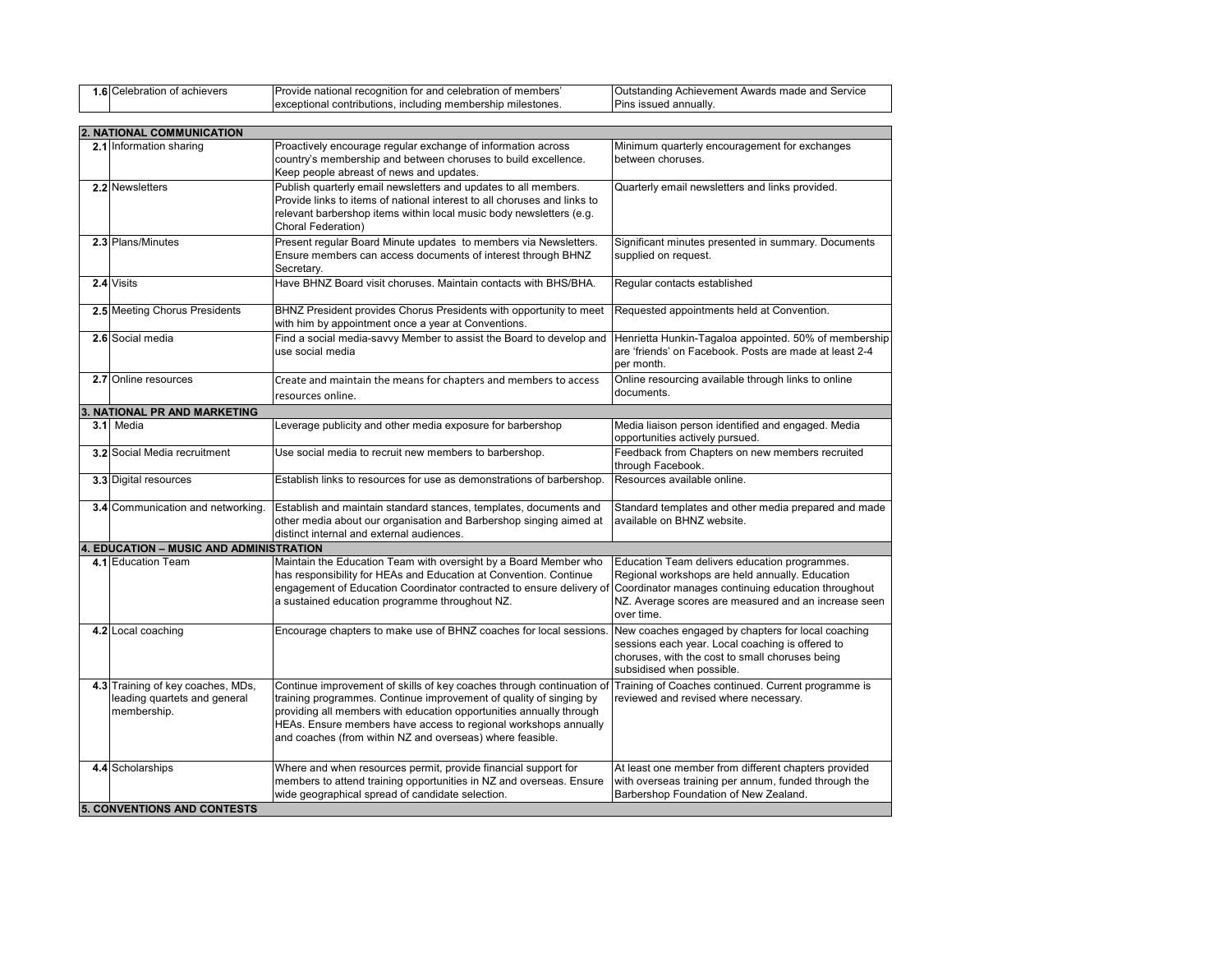| nevers<br>.0<br>$\sim$ | าitior<br>and<br>ονιαε<br>TOI<br>ation :<br>membe<br>۳۵۳۰<br>'COC<br>natio.<br>, 101 | `ervict<br>$\Delta$ M/s<br>Achie<br>ement/<br>Awards<br>m<br><u>т</u><br>טו ונטו<br>- шачь |
|------------------------|--------------------------------------------------------------------------------------|--------------------------------------------------------------------------------------------|
|                        | uputions<br>tones<br>nciudina<br>nm.<br>entiona<br>.                                 | annually<br>Pın                                                                            |

| 2. NATIONAL COMMUNICATION                                                        |                                                                                                                                                                                                                                                                                                                                                    |                                                                                                                                                                                        |  |  |
|----------------------------------------------------------------------------------|----------------------------------------------------------------------------------------------------------------------------------------------------------------------------------------------------------------------------------------------------------------------------------------------------------------------------------------------------|----------------------------------------------------------------------------------------------------------------------------------------------------------------------------------------|--|--|
| 2.1 Information sharing                                                          | Proactively encourage regular exchange of information across<br>country's membership and between choruses to build excellence.<br>Keep people abreast of news and updates.                                                                                                                                                                         | Minimum quarterly encouragement for exchanges<br>between choruses.                                                                                                                     |  |  |
| 2.2 Newsletters                                                                  | Publish quarterly email newsletters and updates to all members.<br>Provide links to items of national interest to all choruses and links to<br>relevant barbershop items within local music body newsletters (e.g.<br>Choral Federation)                                                                                                           | Quarterly email newsletters and links provided.                                                                                                                                        |  |  |
| 2.3 Plans/Minutes                                                                | Present regular Board Minute updates to members via Newsletters.<br>Ensure members can access documents of interest through BHNZ<br>Secretary.                                                                                                                                                                                                     | Significant minutes presented in summary. Documents<br>supplied on request.                                                                                                            |  |  |
| 2.4 Visits                                                                       | Have BHNZ Board visit choruses. Maintain contacts with BHS/BHA.                                                                                                                                                                                                                                                                                    | Regular contacts established                                                                                                                                                           |  |  |
| 2.5 Meeting Chorus Presidents                                                    | BHNZ President provides Chorus Presidents with opportunity to meet<br>with him by appointment once a year at Conventions.                                                                                                                                                                                                                          | Requested appointments held at Convention.                                                                                                                                             |  |  |
| 2.6 Social media                                                                 | Find a social media-savvy Member to assist the Board to develop and<br>use social media                                                                                                                                                                                                                                                            | Henrietta Hunkin-Tagaloa appointed. 50% of membership<br>are 'friends' on Facebook. Posts are made at least 2-4<br>per month.                                                          |  |  |
| 2.7 Online resources                                                             | Create and maintain the means for chapters and members to access<br>resources online.                                                                                                                                                                                                                                                              | Online resourcing available through links to online<br>documents.                                                                                                                      |  |  |
| 3. NATIONAL PR AND MARKETING                                                     |                                                                                                                                                                                                                                                                                                                                                    |                                                                                                                                                                                        |  |  |
| 3.1 Media                                                                        | Leverage publicity and other media exposure for barbershop                                                                                                                                                                                                                                                                                         | Media liaison person identified and engaged. Media<br>opportunities actively pursued.                                                                                                  |  |  |
| <b>3.2</b> Social Media recruitment                                              | Use social media to recruit new members to barbershop.                                                                                                                                                                                                                                                                                             | Feedback from Chapters on new members recruited<br>through Facebook.                                                                                                                   |  |  |
| 3.3 Digital resources                                                            | Establish links to resources for use as demonstrations of barbershop.                                                                                                                                                                                                                                                                              | Resources available online.                                                                                                                                                            |  |  |
| 3.4 Communication and networking.                                                | Establish and maintain standard stances, templates, documents and<br>other media about our organisation and Barbershop singing aimed at<br>distinct internal and external audiences.                                                                                                                                                               | Standard templates and other media prepared and made<br>available on BHNZ website.                                                                                                     |  |  |
| 4. EDUCATION - MUSIC AND ADMINISTRATION                                          |                                                                                                                                                                                                                                                                                                                                                    |                                                                                                                                                                                        |  |  |
| 4.1 Education Team                                                               | Maintain the Education Team with oversight by a Board Member who<br>has responsibility for HEAs and Education at Convention. Continue<br>engagement of Education Coordinator contracted to ensure delivery of Coordinator manages continuing education throughout<br>a sustained education programme throughout NZ.                                | Education Team delivers education programmes.<br>Regional workshops are held annually. Education<br>NZ. Average scores are measured and an increase seen<br>over time.                 |  |  |
| 4.2 Local coaching                                                               | Encourage chapters to make use of BHNZ coaches for local sessions                                                                                                                                                                                                                                                                                  | New coaches engaged by chapters for local coaching<br>sessions each year. Local coaching is offered to<br>choruses, with the cost to small choruses being<br>subsidised when possible. |  |  |
| 4.3 Training of key coaches, MDs,<br>leading quartets and general<br>membership. | Continue improvement of skills of key coaches through continuation of<br>training programmes. Continue improvement of quality of singing by<br>providing all members with education opportunities annually through<br>HEAs. Ensure members have access to regional workshops annually<br>and coaches (from within NZ and overseas) where feasible. | Training of Coaches continued. Current programme is<br>reviewed and revised where necessary.                                                                                           |  |  |
| 4.4 Scholarships<br><b>5. CONVENTIONS AND CONTESTS</b>                           | Where and when resources permit, provide financial support for<br>members to attend training opportunities in NZ and overseas. Ensure<br>wide geographical spread of candidate selection.                                                                                                                                                          | At least one member from different chapters provided<br>with overseas training per annum, funded through the<br>Barbershop Foundation of New Zealand.                                  |  |  |